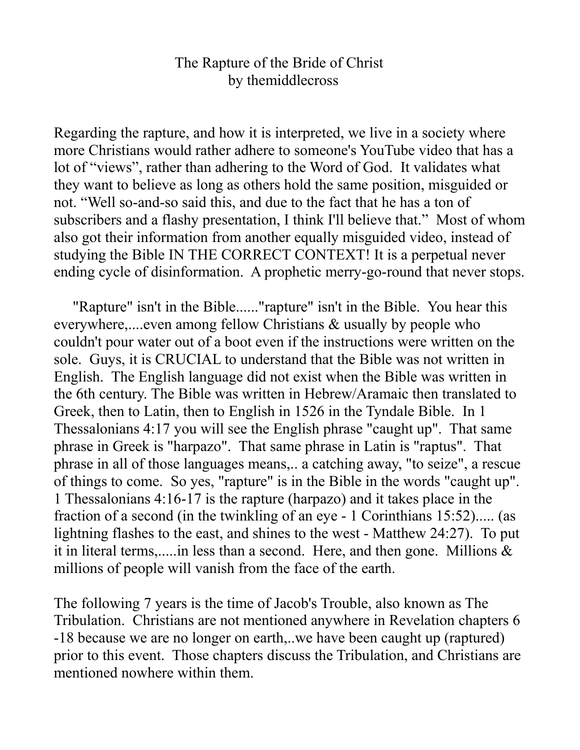## The Rapture of the Bride of Christ by themiddlecross

Regarding the rapture, and how it is interpreted, we live in a society where more Christians would rather adhere to someone's YouTube video that has a lot of "views", rather than adhering to the Word of God. It validates what they want to believe as long as others hold the same position, misguided or not. "Well so-and-so said this, and due to the fact that he has a ton of subscribers and a flashy presentation, I think I'll believe that." Most of whom also got their information from another equally misguided video, instead of studying the Bible IN THE CORRECT CONTEXT! It is a perpetual never ending cycle of disinformation. A prophetic merry-go-round that never stops.

 "Rapture" isn't in the Bible......"rapture" isn't in the Bible. You hear this everywhere,....even among fellow Christians & usually by people who couldn't pour water out of a boot even if the instructions were written on the sole. Guys, it is CRUCIAL to understand that the Bible was not written in English. The English language did not exist when the Bible was written in the 6th century. The Bible was written in Hebrew/Aramaic then translated to Greek, then to Latin, then to English in 1526 in the Tyndale Bible. In 1 Thessalonians 4:17 you will see the English phrase "caught up". That same phrase in Greek is "harpazo". That same phrase in Latin is "raptus". That phrase in all of those languages means,.. a catching away, "to seize", a rescue of things to come. So yes, "rapture" is in the Bible in the words "caught up". 1 Thessalonians 4:16-17 is the rapture (harpazo) and it takes place in the fraction of a second (in the twinkling of an eye - 1 Corinthians 15:52)..... (as lightning flashes to the east, and shines to the west - Matthew 24:27). To put it in literal terms,.....in less than a second. Here, and then gone. Millions  $\&$ millions of people will vanish from the face of the earth.

The following 7 years is the time of Jacob's Trouble, also known as The Tribulation. Christians are not mentioned anywhere in Revelation chapters 6 -18 because we are no longer on earth,..we have been caught up (raptured) prior to this event. Those chapters discuss the Tribulation, and Christians are mentioned nowhere within them.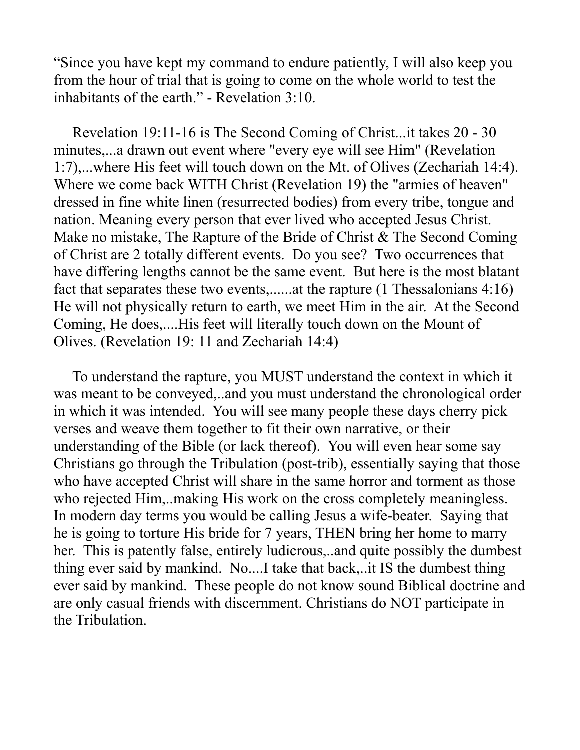"Since you have kept my command to endure patiently, I will also keep you from the hour of trial that is going to come on the whole world to test the inhabitants of the earth." - Revelation 3:10.

 Revelation 19:11-16 is The Second Coming of Christ...it takes 20 - 30 minutes,...a drawn out event where "every eye will see Him" (Revelation 1:7),...where His feet will touch down on the Mt. of Olives (Zechariah 14:4). Where we come back WITH Christ (Revelation 19) the "armies of heaven" dressed in fine white linen (resurrected bodies) from every tribe, tongue and nation. Meaning every person that ever lived who accepted Jesus Christ. Make no mistake, The Rapture of the Bride of Christ & The Second Coming of Christ are 2 totally different events. Do you see? Two occurrences that have differing lengths cannot be the same event. But here is the most blatant fact that separates these two events,......at the rapture (1 Thessalonians 4:16) He will not physically return to earth, we meet Him in the air. At the Second Coming, He does,....His feet will literally touch down on the Mount of Olives. (Revelation 19: 11 and Zechariah 14:4)

 To understand the rapture, you MUST understand the context in which it was meant to be conveyed,..and you must understand the chronological order in which it was intended. You will see many people these days cherry pick verses and weave them together to fit their own narrative, or their understanding of the Bible (or lack thereof). You will even hear some say Christians go through the Tribulation (post-trib), essentially saying that those who have accepted Christ will share in the same horror and torment as those who rejected Him,..making His work on the cross completely meaningless. In modern day terms you would be calling Jesus a wife-beater. Saying that he is going to torture His bride for 7 years, THEN bring her home to marry her. This is patently false, entirely ludicrous,..and quite possibly the dumbest thing ever said by mankind. No....I take that back,..it IS the dumbest thing ever said by mankind. These people do not know sound Biblical doctrine and are only casual friends with discernment. Christians do NOT participate in the Tribulation.